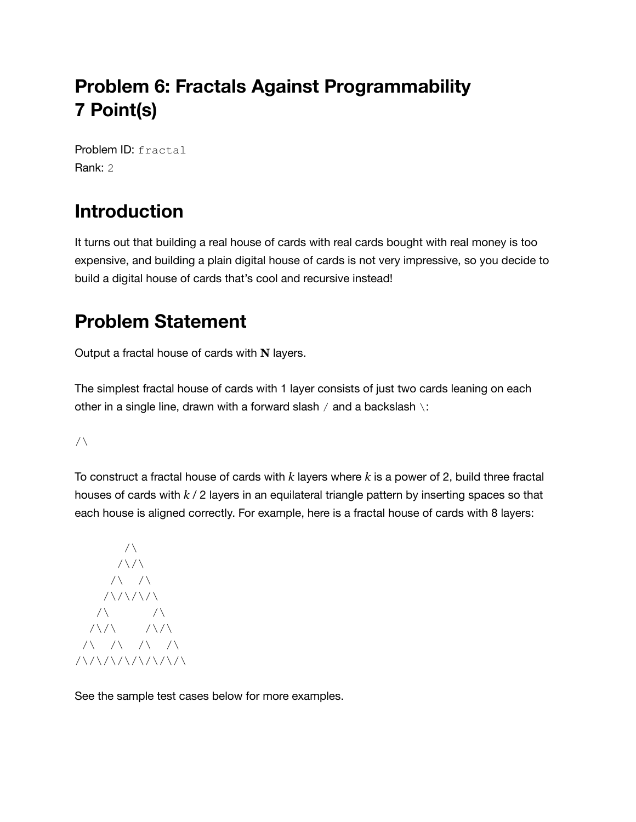## **Problem 6: Fractals Against Programmability 7 Point(s)**

Problem ID: fractal Rank: 2

# **Introduction**

It turns out that building a real house of cards with real cards bought with real money is too expensive, and building a plain digital house of cards is not very impressive, so you decide to build a digital house of cards that's cool and recursive instead!

### **Problem Statement**

Output a fractal house of cards with **N** layers.

The simplest fractal house of cards with 1 layer consists of just two cards leaning on each other in a single line, drawn with a forward slash  $/$  and a backslash  $\setminus$ :

 $/\setminus$ 

To construct a fractal house of cards with *k* layers where *k* is a power of 2, build three fractal houses of cards with *k* / 2 layers in an equilateral triangle pattern by inserting spaces so that each house is aligned correctly. For example, here is a fractal house of cards with 8 layers:

```
/\setminus/ \setminus / \setminus/ \backslash /\
       1/\sqrt{1/\sqrt{1}}/\backslash /\
   / \backslash / \backslash /\/\
 /\ /\ /\ /\
/\/\/\/\/\/\/\/\
```
See the sample test cases below for more examples.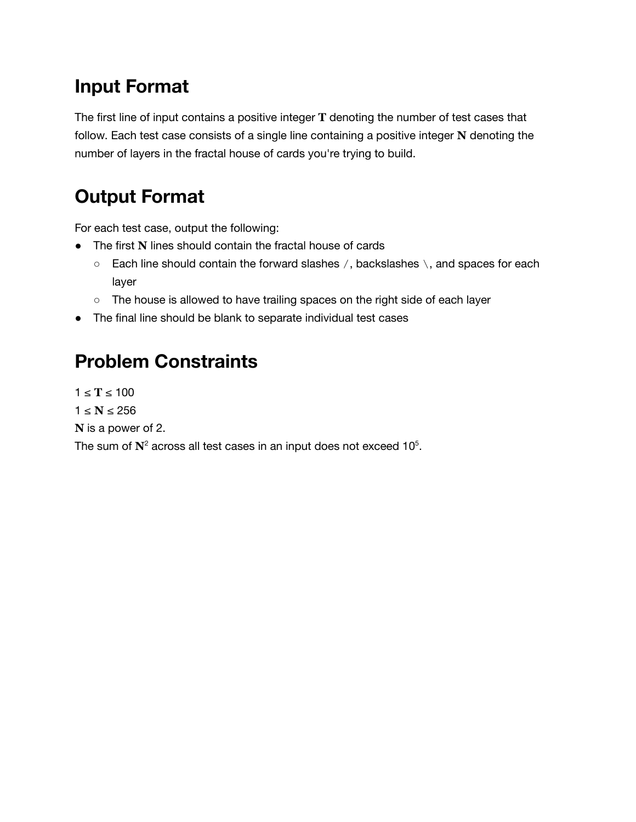## **Input Format**

The first line of input contains a positive integer **T** denoting the number of test cases that follow. Each test case consists of a single line containing a positive integer **N** denoting the number of layers in the fractal house of cards you're trying to build.

### **Output Format**

For each test case, output the following:

- The first **N** lines should contain the fractal house of cards
	- $\circ$  Each line should contain the forward slashes /, backslashes \, and spaces for each layer
	- The house is allowed to have trailing spaces on the right side of each layer
- The final line should be blank to separate individual test cases

### **Problem Constraints**

 $1 ≤ T ≤ 100$  $1 \leq N \leq 256$ **N** is a power of 2. The sum of  $\mathbf{N}^2$  across all test cases in an input does not exceed 10<sup>5</sup>.